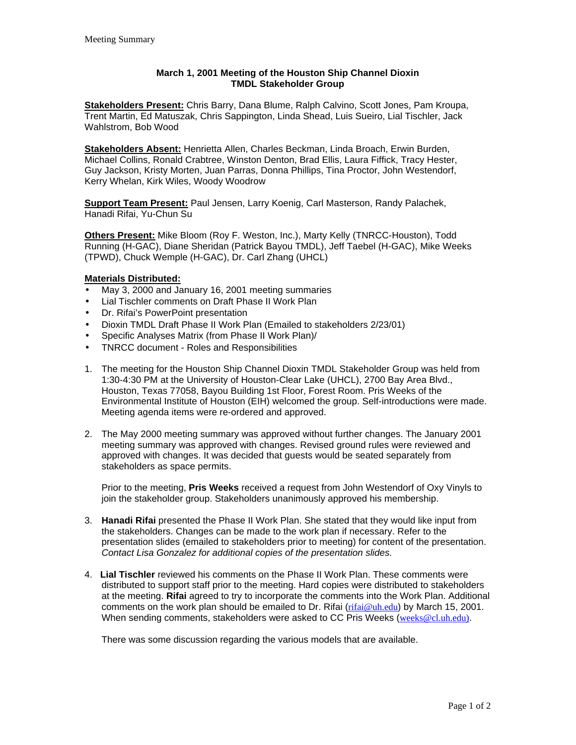## **March 1, 2001 Meeting of the Houston Ship Channel Dioxin TMDL Stakeholder Group**

**Stakeholders Present:** Chris Barry, Dana Blume, Ralph Calvino, Scott Jones, Pam Kroupa, Trent Martin, Ed Matuszak, Chris Sappington, Linda Shead, Luis Sueiro, Lial Tischler, Jack Wahlstrom, Bob Wood

**Stakeholders Absent:** Henrietta Allen, Charles Beckman, Linda Broach, Erwin Burden, Michael Collins, Ronald Crabtree, Winston Denton, Brad Ellis, Laura Fiffick, Tracy Hester, Guy Jackson, Kristy Morten, Juan Parras, Donna Phillips, Tina Proctor, John Westendorf, Kerry Whelan, Kirk Wiles, Woody Woodrow

**Support Team Present:** Paul Jensen, Larry Koenig, Carl Masterson, Randy Palachek, Hanadi Rifai, Yu-Chun Su

**Others Present:** Mike Bloom (Roy F. Weston, Inc.), Marty Kelly (TNRCC-Houston), Todd Running (H-GAC), Diane Sheridan (Patrick Bayou TMDL), Jeff Taebel (H-GAC), Mike Weeks (TPWD), Chuck Wemple (H-GAC), Dr. Carl Zhang (UHCL)

## **Materials Distributed:**

- May 3, 2000 and January 16, 2001 meeting summaries
- Lial Tischler comments on Draft Phase II Work Plan
- Dr. Rifai's PowerPoint presentation
- Dioxin TMDL Draft Phase II Work Plan (Emailed to stakeholders 2/23/01)
- Specific Analyses Matrix (from Phase II Work Plan)/
- TNRCC document Roles and Responsibilities
- 1. The meeting for the Houston Ship Channel Dioxin TMDL Stakeholder Group was held from 1:30-4:30 PM at the University of Houston-Clear Lake (UHCL), 2700 Bay Area Blvd., Houston, Texas 77058, Bayou Building 1st Floor, Forest Room. Pris Weeks of the Environmental Institute of Houston (EIH) welcomed the group. Self-introductions were made. Meeting agenda items were re-ordered and approved.
- 2. The May 2000 meeting summary was approved without further changes. The January 2001 meeting summary was approved with changes. Revised ground rules were reviewed and approved with changes. It was decided that guests would be seated separately from stakeholders as space permits.

Prior to the meeting, **Pris Weeks** received a request from John Westendorf of Oxy Vinyls to join the stakeholder group. Stakeholders unanimously approved his membership.

- 3. **Hanadi Rifai** presented the Phase II Work Plan. She stated that they would like input from the stakeholders. Changes can be made to the work plan if necessary. Refer to the presentation slides (emailed to stakeholders prior to meeting) for content of the presentation. *Contact Lisa Gonzalez for additional copies of the presentation slides.*
- 4. **Lial Tischler** reviewed his comments on the Phase II Work Plan. These comments were distributed to support staff prior to the meeting. Hard copies were distributed to stakeholders at the meeting. **Rifai** agreed to try to incorporate the comments into the Work Plan. Additional comments on the work plan should be emailed to Dr. Rifai  $(\text{rifai} \omega_{\text{uh.edu}})$  by March 15, 2001. When sending comments, stakeholders were asked to CC Pris Weeks (weeks@cl.uh.edu).

There was some discussion regarding the various models that are available.